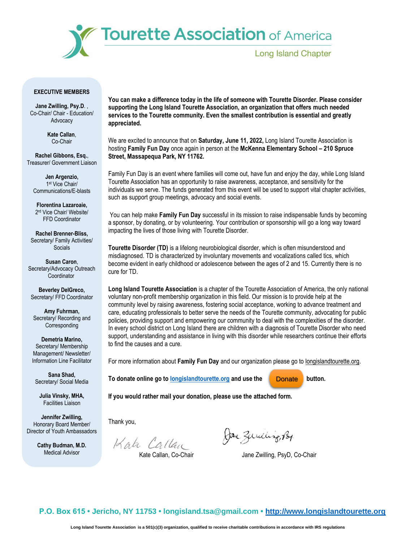

### **EXECUTIVE MEMBERS**

**Jane Zwilling, Psy.D**. , Co-Chair/ Chair - Education/ Advocacy

> **Kate Callan**, Co-Chair

**Rachel Gibbons, Esq.**, Treasurer/ Government Liaison

**Jen Argenzio,** 1 st Vice Chair/ Communications/E-blasts

**Florentina Lazaroaie,** 2 rd Vice Chair/ Website/ FFD Coordinator

**Rachel Brenner-Bliss,** Secretary/ Family Activities/ **Socials** 

**Susan Caron**, Secretary/Advocacy Outreach **Coordinator** 

**Beverley DelGreco,** Secretary/ FFD Coordinator

**Amy Fuhrman,** Secretary/ Recording and **Corresponding** 

**Demetria Marino,** Secretary/ Membership Management/ Newsletter/ Information Line Facilitator

**Sana Shad,** Secretary/ Social Media

**Julia Vinsky, MHA,** Facilities Liaison

**Jennifer Zwilling,** Honorary Board Member/ Director of Youth Ambassadors

> **Cathy Budman, M.D.** Medical Advisor

**You can make a difference today in the life of someone with Tourette Disorder. Please consider supporting the Long Island Tourette Association, an organization that offers much needed services to the Tourette community. Even the smallest contribution is essential and greatly appreciated.**

We are excited to announce that on **Saturday, June 11, 2022,** Long Island Tourette Association is hosting **Family Fun Day** once again in person at the **McKenna Elementary School – 210 Spruce Street, Massapequa Park, NY 11762.**

Family Fun Day is an event where families will come out, have fun and enjoy the day, while Long Island Tourette Association has an opportunity to raise awareness, acceptance, and sensitivity for the individuals we serve. The funds generated from this event will be used to support vital chapter activities, such as support group meetings, advocacy and social events.

You can help make **Family Fun Day** successful in its mission to raise indispensable funds by becoming a sponsor, by donating, or by volunteering. Your contribution or sponsorship will go a long way toward impacting the lives of those living with Tourette Disorder.

**Tourette Disorder (TD)** is a lifelong neurobiological disorder, which is often misunderstood and misdiagnosed. TD is characterized by involuntary movements and vocalizations called tics, which become evident in early childhood or adolescence between the ages of 2 and 15. Currently there is no cure for TD.

**Long Island Tourette Association** is a chapter of the Tourette Association of America, the only national voluntary non-profit membership organization in this field. Our mission is to provide help at the community level by raising awareness, fostering social acceptance, working to advance treatment and care, educating professionals to better serve the needs of the Tourette community, advocating for public policies, providing support and empowering our community to deal with the complexities of the disorder. In every school district on Long Island there are children with a diagnosis of Tourette Disorder who need support, understanding and assistance in living with this disorder while researchers continue their efforts to find the causes and a cure.

For more information about **Family Fun Day** and our organization please go to longislandtourette.org.

**To donate online go to longislandtourette.org and use the <b>button.** button.

**Donate** 

**If you would rather mail your donation, please use the attached form.**

Thank you,

Kata Callan

Jane Zumeling, Por

Kate Callan, Co-Chair Jane Zwilling, PsyD, Co-Chair

**P.O. Box 615 • Jericho, NY 11753 • longisland.tsa@gmail.com • http://www.longislandtourette.org**